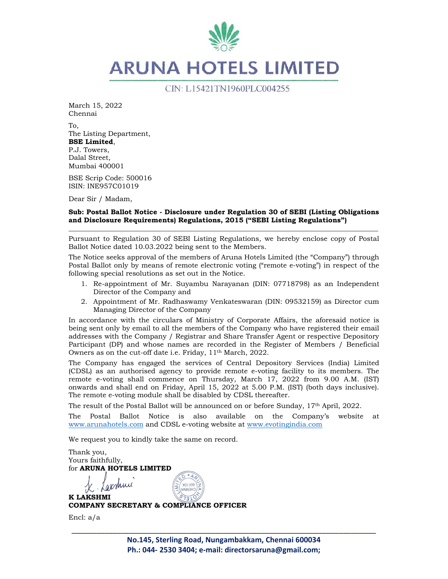

March 15, 2022 Chennai

To, The Listing Department, **BSE Limited**, P.J. Towers, Dalal Street, Mumbai 400001

BSE Scrip Code: 500016 ISIN: INE957C01019

Dear Sir / Madam,

### **Sub: Postal Ballot Notice - Disclosure under Regulation 30 of SEBI (Listing Obligations and Disclosure Requirements) Regulations, 2015 ("SEBI Listing Regulations") \_\_\_\_\_\_\_\_\_\_\_\_\_\_\_\_\_\_\_\_\_\_\_\_\_\_\_\_\_\_\_\_\_\_\_\_\_\_\_\_\_\_\_\_\_\_\_\_\_\_\_\_\_\_\_\_\_\_\_\_\_\_\_\_\_\_\_\_\_\_\_\_\_\_\_\_\_\_\_\_\_\_\_\_\_\_\_\_\_\_**

Pursuant to Regulation 30 of SEBI Listing Regulations, we hereby enclose copy of Postal Ballot Notice dated 10.03.2022 being sent to the Members.

The Notice seeks approval of the members of Aruna Hotels Limited (the "Company") through Postal Ballot only by means of remote electronic voting ("remote e-voting") in respect of the following special resolutions as set out in the Notice.

- 1. Re-appointment of Mr. Suyambu Narayanan (DIN: 07718798) as an Independent Director of the Company and
- 2. Appointment of Mr. Radhaswamy Venkateswaran (DIN: 09532159) as Director cum Managing Director of the Company

In accordance with the circulars of Ministry of Corporate Affairs, the aforesaid notice is being sent only by email to all the members of the Company who have registered their email addresses with the Company / Registrar and Share Transfer Agent or respective Depository Participant (DP) and whose names are recorded in the Register of Members / Beneficial Owners as on the cut-off date i.e. Friday, 11th March, 2022.

The Company has engaged the services of Central Depository Services (India) Limited (CDSL) as an authorised agency to provide remote e-voting facility to its members. The remote e-voting shall commence on Thursday, March 17, 2022 from 9.00 A.M. (IST) onwards and shall end on Friday, April 15, 2022 at 5.00 P.M. (IST) (both days inclusive). The remote e-voting module shall be disabled by CDSL thereafter.

The result of the Postal Ballot will be announced on or before Sunday, 17<sup>th</sup> April, 2022.

The Postal Ballot Notice is also available on the Company's website at www.arunahotels.com and CDSL e-voting website at www.evotingindia.com

We request you to kindly take the same on record.

Thank you, Yours faithfully, for **ARUNA HOTELS LIMITED** 

Carshun **K LAKSHMI COMPANY SECRETARY & COMPLIANCE OFFICER** 

Encl: a/a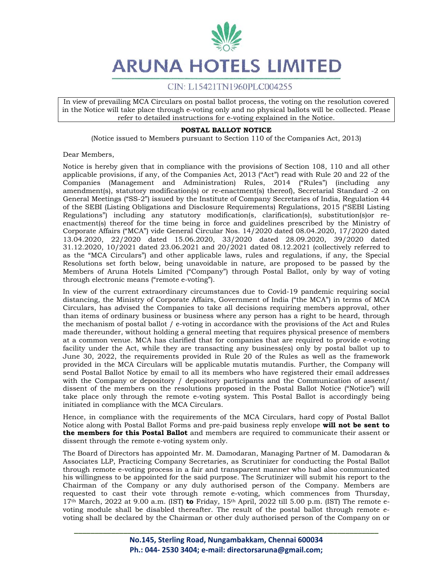# CIN: L15421TN1960PLC004255

In view of prevailing MCA Circulars on postal ballot process, the voting on the resolution covered in the Notice will take place through e-voting only and no physical ballots will be collected. Please refer to detailed instructions for e-voting explained in the Notice.

### **POSTAL BALLOT NOTICE**

(Notice issued to Members pursuant to Section 110 of the Companies Act, 2013)

Dear Members,

Notice is hereby given that in compliance with the provisions of Section 108, 110 and all other applicable provisions, if any, of the Companies Act, 2013 ("Act") read with Rule 20 and 22 of the Companies (Management and Administration) Rules, 2014 ("Rules") (including any amendment(s), statutory modification(s) or re-enactment(s) thereof), Secretarial Standard -2 on General Meetings ("SS-2") issued by the Institute of Company Secretaries of India, Regulation 44 of the SEBI (Listing Obligations and Disclosure Requirements) Regulations, 2015 ("SEBI Listing Regulations") including any statutory modification(s, clarification(s), substitution(s)or reenactment(s) thereof for the time being in force and guidelines prescribed by the Ministry of Corporate Affairs ("MCA") vide General Circular Nos. 14/2020 dated 08.04.2020, 17/2020 dated 13.04.2020, 22/2020 dated 15.06.2020, 33/2020 dated 28.09.2020, 39/2020 dated 31.12.2020, 10/2021 dated 23.06.2021 and 20/2021 dated 08.12.2021 (collectively referred to as the "MCA Circulars") and other applicable laws, rules and regulations, if any, the Special Resolutions set forth below, being unavoidable in nature, are proposed to be passed by the Members of Aruna Hotels Limited ("Company") through Postal Ballot, only by way of voting through electronic means ("remote e-voting").

In view of the current extraordinary circumstances due to Covid-19 pandemic requiring social distancing, the Ministry of Corporate Affairs, Government of India ("the MCA") in terms of MCA Circulars, has advised the Companies to take all decisions requiring members approval, other than items of ordinary business or business where any person has a right to be heard, through the mechanism of postal ballot / e-voting in accordance with the provisions of the Act and Rules made thereunder, without holding a general meeting that requires physical presence of members at a common venue. MCA has clarified that for companies that are required to provide e-voting facility under the Act, while they are transacting any business(es) only by postal ballot up to June 30, 2022, the requirements provided in Rule 20 of the Rules as well as the framework provided in the MCA Circulars will be applicable mutatis mutandis. Further, the Company will send Postal Ballot Notice by email to all its members who have registered their email addresses with the Company or depository / depository participants and the Communication of assent/ dissent of the members on the resolutions proposed in the Postal Ballot Notice ("Notice") will take place only through the remote e-voting system. This Postal Ballot is accordingly being initiated in compliance with the MCA Circulars.

Hence, in compliance with the requirements of the MCA Circulars, hard copy of Postal Ballot Notice along with Postal Ballot Forms and pre-paid business reply envelope **will not be sent to the members for this Postal Ballot** and members are required to communicate their assent or dissent through the remote e-voting system only.

The Board of Directors has appointed Mr. M. Damodaran, Managing Partner of M. Damodaran & Associates LLP, Practicing Company Secretaries, as Scrutinizer for conducting the Postal Ballot through remote e-voting process in a fair and transparent manner who had also communicated his willingness to be appointed for the said purpose. The Scrutinizer will submit his report to the Chairman of the Company or any duly authorised person of the Company. Members are requested to cast their vote through remote e-voting, which commences from Thursday, 17th March, 2022 at 9.00 a.m. (IST) **to** Friday, 15th April, 2022 till 5.00 p.m. (IST) The remote evoting module shall be disabled thereafter. The result of the postal ballot through remote evoting shall be declared by the Chairman or other duly authorised person of the Company on or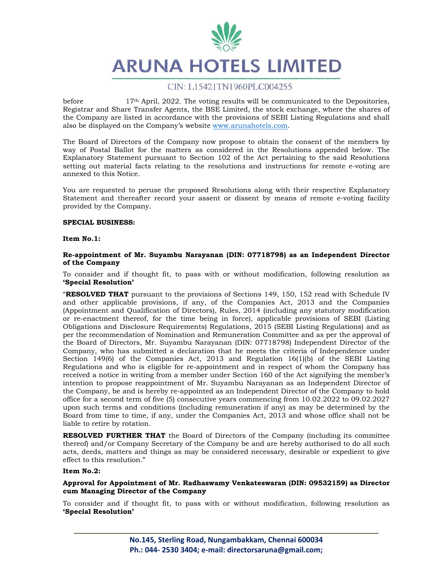

before 17th April, 2022. The voting results will be communicated to the Depositories, Registrar and Share Transfer Agents, the BSE Limited, the stock exchange, where the shares of the Company are listed in accordance with the provisions of SEBI Listing Regulations and shall also be displayed on the Company's website www.arunahotels.com.

The Board of Directors of the Company now propose to obtain the consent of the members by way of Postal Ballot for the matters as considered in the Resolutions appended below. The Explanatory Statement pursuant to Section 102 of the Act pertaining to the said Resolutions setting out material facts relating to the resolutions and instructions for remote e-voting are annexed to this Notice.

You are requested to peruse the proposed Resolutions along with their respective Explanatory Statement and thereafter record your assent or dissent by means of remote e-voting facility provided by the Company.

### **SPECIAL BUSINESS:**

### **Item No.1:**

### **Re-appointment of Mr. Suyambu Narayanan (DIN: 07718798) as an Independent Director of the Company**

To consider and if thought fit, to pass with or without modification, following resolution as **'Special Resolution'**

"**RESOLVED THAT** pursuant to the provisions of Sections 149, 150, 152 read with Schedule IV and other applicable provisions, if any, of the Companies Act, 2013 and the Companies (Appointment and Qualification of Directors), Rules, 2014 (including any statutory modification or re-enactment thereof, for the time being in force), applicable provisions of SEBI (Listing Obligations and Disclosure Requirements) Regulations, 2015 (SEBI Listing Regulations) and as per the recommendation of Nomination and Remuneration Committee and as per the approval of the Board of Directors, Mr. Suyambu Narayanan (DIN: 07718798) Independent Director of the Company, who has submitted a declaration that he meets the criteria of Independence under Section 149(6) of the Companies Act, 2013 and Regulation 16(1)(b) of the SEBI Listing Regulations and who is eligible for re-appointment and in respect of whom the Company has received a notice in writing from a member under Section 160 of the Act signifying the member's intention to propose reappointment of Mr. Suyambu Narayanan as an Independent Director of the Company, be and is hereby re-appointed as an Independent Director of the Company to hold office for a second term of five (5) consecutive years commencing from 10.02.2022 to 09.02.2027 upon such terms and conditions (including remuneration if any) as may be determined by the Board from time to time, if any, under the Companies Act, 2013 and whose office shall not be liable to retire by rotation.

**RESOLVED FURTHER THAT** the Board of Directors of the Company (including its committee thereof) and/or Company Secretary of the Company be and are hereby authorised to do all such acts, deeds, matters and things as may be considered necessary, desirable or expedient to give effect to this resolution."

### **Item No.2:**

### **Approval for Appointment of Mr. Radhaswamy Venkateswaran (DIN: 09532159) as Director cum Managing Director of the Company**

To consider and if thought fit, to pass with or without modification, following resolution as **'Special Resolution'**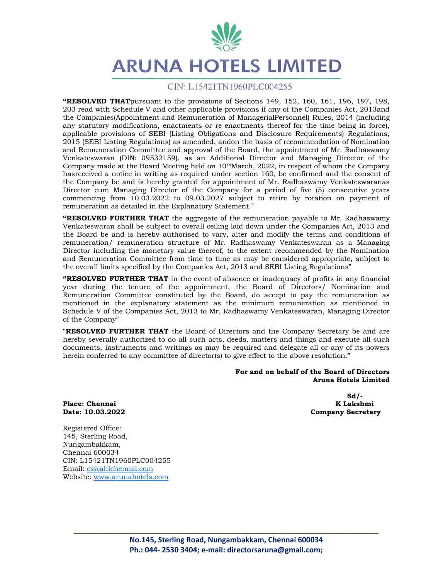

### CIN: L15421TN1960PLC004255

**"RESOLVED THAT**pursuant to the provisions of Sections 149, 152, 160, 161, 196, 197, 198, 203 read with Schedule V and other applicable provisions if any of the Companies Act, 2013and the Companies(Appointment and Remuneration of ManagerialPersonnel) Rules, 2014 (including any statutory modifications, enactments or re-enactments thereof for the time being in force), applicable provisions of SEBI (Listing Obligations and Disclosure Requirements) Regulations, 2015 (SEBI Listing Regulations) as amended, andon the basis of recommendation of Nomination and Remuneration Committee and approval of the Board, the appointment of Mr. Radhaswamy Venkateswaran (DIN: 09532159), as an Additional Director and Managing Director of the Company made at the Board Meeting held on  $10<sup>th</sup>$ March, 2022, in respect of whom the Company hasreceived a notice in writing as required under section 160, be confirmed and the consent of the Company be and is hereby granted for appointment of Mr. Radhaswamy Venkateswaranas Director cum Managing Director of the Company for a period of five (5) consecutive years commencing from 10.03.2022 to 09.03.2027 subject to retire by rotation on payment of remuneration as detailed in the Explanatory Statement."

**"RESOLVED FURTHER THAT** the aggregate of the remuneration payable to Mr. Radhaswamy Venkateswaran shall be subject to overall ceiling laid down under the Companies Act, 2013 and the Board be and is hereby authorised to vary, alter and modify the terms and conditions of remuneration/ remuneration structure of Mr. Radhaswamy Venkateswaran as a Managing Director including the monetary value thereof, to the extent recommended by the Nomination and Remuneration Committee from time to time as may be considered appropriate, subject to the overall limits specified by the Companies Act, 2013 and SEBI Listing Regulations"

**"RESOLVED FURTHER THAT** in the event of absence or inadequacy of profits in any financial year during the tenure of the appointment, the Board of Directors/ Nomination and Remuneration Committee constituted by the Board, do accept to pay the remuneration as mentioned in the explanatory statement as the minimum remuneration as mentioned in Schedule V of the Companies Act, 2013 to Mr. Radhaswamy Venkateswaran, Managing Director of the Company"

**"RESOLVED FURTHER THAT** the Board of Directors and the Company Secretary be and are hereby severally authorized to do all such acts, deeds, matters and things and execute all such documents, instruments and writings as may be required and delegate all or any of its powers herein conferred to any committee of director(s) to give effect to the above resolution."

### **For and on behalf of the Board of Directors Aruna Hotels Limited**

**Place: Chennai K Lakshmi** 

 $Sd/$ - $Sd/$ - $Sd/$ - $Sd/$ - $Sd/$ - $Sd/$ - $Sd/$ - $Sd/$ - $Sd/$ - $Sd/$ - $Sd/$ - $Sd/$ - $Sd/$ - $Sd/$ - $Sd/$ - $Sd/$ - $Sd/$ - $Sd/$ - $Sd/$ - $Sd/$ - $Sd/$ - $Sd/$ - $Sd/$ - $Sd/$ - $Sd/$ - $Sd/$ - $Sd/$ - $Sd/$ - $Sd/$ - $Sd/$ - $Sd/$ - $Sd/$ - $Sd/$ - $Sd/$ - $Sd/$ - $Sd/$ - $Sd/$ **Date: 10.03.2022 Company Secretary** 

Registered Office: 145, Sterling Road, Nungambakkam, Chennai 600034 CIN: L15421TN1960PLC004255 Email: cs@ahlchennai.com Website: www.arunahotels.com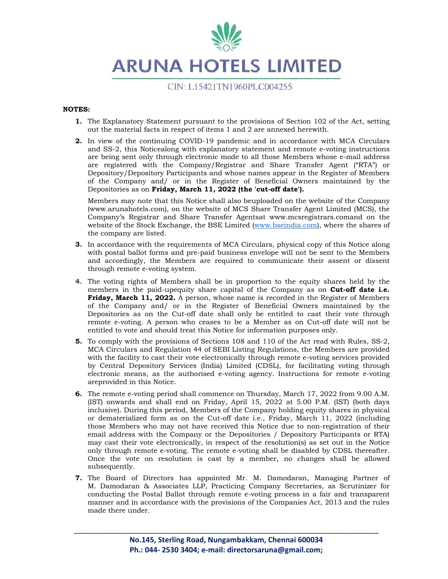

### **NOTES:**

- **1.** The Explanatory Statement pursuant to the provisions of Section 102 of the Act, setting out the material facts in respect of items 1 and 2 are annexed herewith.
- **2.** In view of the continuing COVID-19 pandemic and in accordance with MCA Circulars and SS-2, this Noticealong with explanatory statement and remote e-voting instructions are being sent only through electronic mode to all those Members whose e-mail address are registered with the Company/Registrar and Share Transfer Agent ("RTA") or Depository/Depository Participants and whose names appear in the Register of Members of the Company and/ or in the Register of Beneficial Owners maintained by the Depositories as on **Friday, March 11, 2022 (the 'cut-off date').**

Members may note that this Notice shall also beuploaded on the website of the Company (www.arunahotels.com), on the website of MCS Share Transfer Agent Limited (MCS), the Company's Registrar and Share Transfer Agentsat www.mcsregistrars.comand on the website of the Stock Exchange, the BSE Limited (www.bseindia.com), where the shares of the company are listed.

- **3.** In accordance with the requirements of MCA Circulars, physical copy of this Notice along with postal ballot forms and pre-paid business envelope will not be sent to the Members and accordingly, the Members are required to communicate their assent or dissent through remote e-voting system.
- **4.** The voting rights of Members shall be in proportion to the equity shares held by the members in the paid-upequity share capital of the Company as on **Cut-off date i.e. Friday, March 11, 2022.** A person, whose name is recorded in the Register of Members of the Company and/ or in the Register of Beneficial Owners maintained by the Depositories as on the Cut-off date shall only be entitled to cast their vote through remote e-voting. A person who ceases to be a Member as on Cut-off date will not be entitled to vote and should treat this Notice for information purposes only.
- **5.** To comply with the provisions of Sections 108 and 110 of the Act read with Rules, SS-2, MCA Circulars and Regulation 44 of SEBI Listing Regulations, the Members are provided with the facility to cast their vote electronically through remote e-voting services provided by Central Depository Services (India) Limited (CDSL), for facilitating voting through electronic means, as the authorised e-voting agency. Instructions for remote e-voting areprovided in this Notice.
- **6.** The remote e-voting period shall commence on Thursday, March 17, 2022 from 9.00 A.M. (IST) onwards and shall end on Friday, April 15, 2022 at 5.00 P.M. (IST) (both days inclusive). During this period, Members of the Company holding equity shares in physical or dematerialized form as on the Cut-off date i.e., Friday, March 11, 2022 (including those Members who may not have received this Notice due to non-registration of their email address with the Company or the Depositories / Depository Participants or RTA) may cast their vote electronically, in respect of the resolution(s) as set out in the Notice only through remote e-voting. The remote e-voting shall be disabled by CDSL thereafter. Once the vote on resolution is cast by a member, no changes shall be allowed subsequently.
- **7.** The Board of Directors has appointed Mr. M. Damodaran, Managing Partner of M. Damodaran & Associates LLP, Practicing Company Secretaries, as Scrutinizer for conducting the Postal Ballot through remote e-voting process in a fair and transparent manner and in accordance with the provisions of the Companies Act, 2013 and the rules made there under.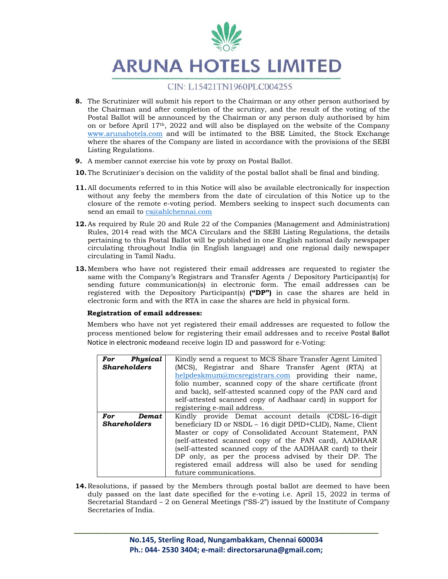

- **8.** The Scrutinizer will submit his report to the Chairman or any other person authorised by the Chairman and after completion of the scrutiny, and the result of the voting of the Postal Ballot will be announced by the Chairman or any person duly authorised by him on or before April  $17<sup>th</sup>$ , 2022 and will also be displayed on the website of the Company www.arunahotels.com and will be intimated to the BSE Limited, the Stock Exchange where the shares of the Company are listed in accordance with the provisions of the SEBI Listing Regulations.
- **9.** A member cannot exercise his vote by proxy on Postal Ballot.
- **10.**The Scrutinizer's decision on the validity of the postal ballot shall be final and binding.
- **11.**All documents referred to in this Notice will also be available electronically for inspection without any feeby the members from the date of circulation of this Notice up to the closure of the remote e-voting period. Members seeking to inspect such documents can send an email to cs@ahlchennai.com
- **12.**As required by Rule 20 and Rule 22 of the Companies (Management and Administration) Rules, 2014 read with the MCA Circulars and the SEBI Listing Regulations, the details pertaining to this Postal Ballot will be published in one English national daily newspaper circulating throughout India (in English language) and one regional daily newspaper circulating in Tamil Nadu.
- **13.**Members who have not registered their email addresses are requested to register the same with the Company's Registrars and Transfer Agents / Depository Participant(s) for sending future communication(s) in electronic form. The email addresses can be registered with the Depository Participant(s) **("DP")** in case the shares are held in electronic form and with the RTA in case the shares are held in physical form.

### **Registration of email addresses:**

Members who have not yet registered their email addresses are requested to follow the process mentioned below for registering their email addresses and to receive Postal Ballot Notice in electronic modeand receive login ID and password for e-Voting:

| Physical<br>For     | Kindly send a request to MCS Share Transfer Agent Limited  |
|---------------------|------------------------------------------------------------|
| <b>Shareholders</b> | (MCS), Registrar and Share Transfer Agent (RTA) at         |
|                     | helpdeskmum@mcsregistrars.com providing their name,        |
|                     | folio number, scanned copy of the share certificate (front |
|                     | and back), self-attested scanned copy of the PAN card and  |
|                     | self-attested scanned copy of Aadhaar card) in support for |
|                     | registering e-mail address.                                |
| For<br>Demat.       | Kindly provide Demat account details (CDSL-16-digit        |
| <b>Shareholders</b> | beneficiary ID or NSDL - 16 digit DPID+CLID), Name, Client |
|                     | Master or copy of Consolidated Account Statement, PAN      |
|                     | (self-attested scanned copy of the PAN card), AADHAAR      |
|                     | (self-attested scanned copy of the AADHAAR card) to their  |
|                     | DP only, as per the process advised by their DP. The       |
|                     | registered email address will also be used for sending     |
|                     | future communications.                                     |

**14.**Resolutions, if passed by the Members through postal ballot are deemed to have been duly passed on the last date specified for the e-voting i.e. April 15, 2022 in terms of Secretarial Standard – 2 on General Meetings ("SS-2") issued by the Institute of Company Secretaries of India.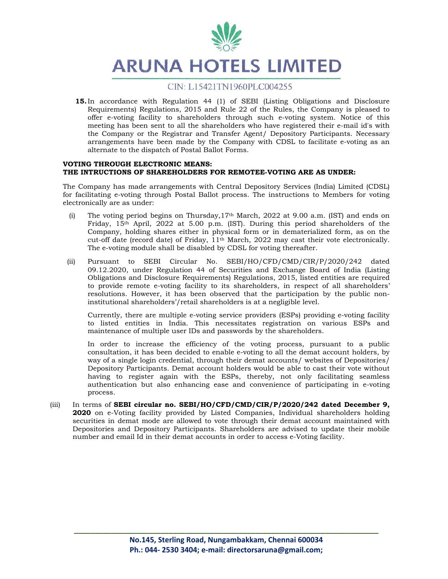

**15.**In accordance with Regulation 44 (1) of SEBI (Listing Obligations and Disclosure Requirements) Regulations, 2015 and Rule 22 of the Rules, the Company is pleased to offer e-voting facility to shareholders through such e-voting system. Notice of this meeting has been sent to all the shareholders who have registered their e-mail id's with the Company or the Registrar and Transfer Agent/ Depository Participants. Necessary arrangements have been made by the Company with CDSL to facilitate e-voting as an alternate to the dispatch of Postal Ballot Forms.

### **VOTING THROUGH ELECTRONIC MEANS: THE INTRUCTIONS OF SHAREHOLDERS FOR REMOTEE-VOTING ARE AS UNDER:**

The Company has made arrangements with Central Depository Services (India) Limited (CDSL) for facilitating e-voting through Postal Ballot process. The instructions to Members for voting electronically are as under:

- (i) The voting period begins on Thursday,  $17<sup>th</sup>$  March, 2022 at 9.00 a.m. (IST) and ends on Friday, 15th April, 2022 at 5.00 p.m. (IST). During this period shareholders of the Company, holding shares either in physical form or in dematerialized form, as on the cut-off date (record date) of Friday, 11th March, 2022 may cast their vote electronically. The e-voting module shall be disabled by CDSL for voting thereafter.
- (ii) Pursuant to SEBI Circular No. SEBI/HO/CFD/CMD/CIR/P/2020/242 dated 09.12.2020, under Regulation 44 of Securities and Exchange Board of India (Listing Obligations and Disclosure Requirements) Regulations, 2015, listed entities are required to provide remote e-voting facility to its shareholders, in respect of all shareholders' resolutions. However, it has been observed that the participation by the public noninstitutional shareholders'/retail shareholders is at a negligible level.

Currently, there are multiple e-voting service providers (ESPs) providing e-voting facility to listed entities in India. This necessitates registration on various ESPs and maintenance of multiple user IDs and passwords by the shareholders.

In order to increase the efficiency of the voting process, pursuant to a public consultation, it has been decided to enable e-voting to all the demat account holders, by way of a single login credential, through their demat accounts/ websites of Depositories/ Depository Participants. Demat account holders would be able to cast their vote without having to register again with the ESPs, thereby, not only facilitating seamless authentication but also enhancing ease and convenience of participating in e-voting process.

(iii) In terms of **SEBI circular no. SEBI/HO/CFD/CMD/CIR/P/2020/242 dated December 9, 2020** on e-Voting facility provided by Listed Companies, Individual shareholders holding securities in demat mode are allowed to vote through their demat account maintained with Depositories and Depository Participants. Shareholders are advised to update their mobile number and email Id in their demat accounts in order to access e-Voting facility.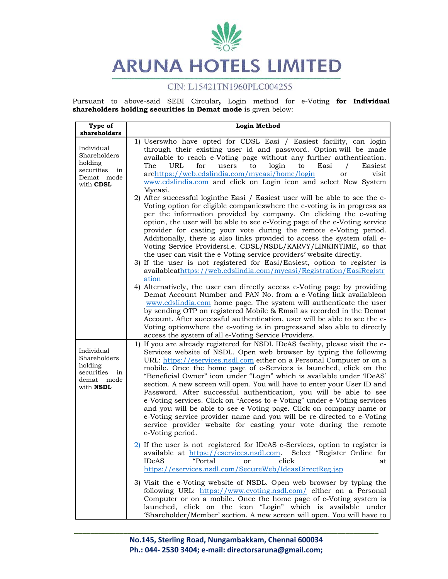

# CIN: L15421TN1960PLC004255

Pursuant to above-said SEBI Circular**,** Login method for e-Voting **for Individual shareholders holding securities in Demat mode** is given below:

| Type of<br>shareholders                                                                     | <b>Login Method</b>                                                                                                                                                                                                                                                                                                                                                                                                                                                                                                                                                                                                                                                                                                                                                                                                                                                                                                                                                                                                                                                                                                                |
|---------------------------------------------------------------------------------------------|------------------------------------------------------------------------------------------------------------------------------------------------------------------------------------------------------------------------------------------------------------------------------------------------------------------------------------------------------------------------------------------------------------------------------------------------------------------------------------------------------------------------------------------------------------------------------------------------------------------------------------------------------------------------------------------------------------------------------------------------------------------------------------------------------------------------------------------------------------------------------------------------------------------------------------------------------------------------------------------------------------------------------------------------------------------------------------------------------------------------------------|
| Individual<br>Shareholders<br>holding<br>securities<br>in<br>Demat mode<br>with CDSL        | 1) Userswho have opted for CDSL Easi / Easiest facility, can login<br>through their existing user id and password. Option will be made<br>available to reach e-Voting page without any further authentication.<br><b>URL</b><br>for<br>login<br>The<br>Easi<br>Easiest<br>users<br>to<br>to<br>arehttps://web.cdslindia.com/myeasi/home/login<br>visit<br>or<br>www.cdslindia.com and click on Login icon and select New System<br>Myeasi.<br>2) After successful loginthe Easi / Easiest user will be able to see the e-<br>Voting option for eligible companies where the e-voting is in progress as<br>per the information provided by company. On clicking the e-voting<br>option, the user will be able to see e-Voting page of the e-Voting service<br>provider for casting your vote during the remote e-Voting period.<br>Additionally, there is also links provided to access the system ofall e-<br>Voting Service Providersi.e. CDSL/NSDL/KARVY/LINKINTIME, so that<br>the user can visit the e-Voting service providers' website directly.<br>3) If the user is not registered for Easi/Easiest, option to register is |
|                                                                                             | availableathttps://web.cdslindia.com/myeasi/Registration/EasiRegistr<br>ation<br>4) Alternatively, the user can directly access e-Voting page by providing<br>Demat Account Number and PAN No. from a e-Voting link availableon<br>www.cdslindia.com home page. The system will authenticate the user<br>by sending OTP on registered Mobile & Email as recorded in the Demat<br>Account. After successful authentication, user will be able to see the e-<br>Voting optionwhere the e-voting is in progressand also able to directly<br>access the system of all e-Voting Service Providers.                                                                                                                                                                                                                                                                                                                                                                                                                                                                                                                                      |
| Individual<br>Shareholders<br>holding<br>securities<br>in<br>demat mode<br>with <b>NSDL</b> | 1) If you are already registered for NSDL IDeAS facility, please visit the e-<br>Services website of NSDL. Open web browser by typing the following<br>URL: https://eservices.nsdl.com either on a Personal Computer or on a<br>mobile. Once the home page of e-Services is launched, click on the<br>"Beneficial Owner" icon under "Login" which is available under 'IDeAS'<br>section. A new screen will open. You will have to enter your User ID and<br>Password. After successful authentication, you will be able to see<br>e-Voting services. Click on "Access to e-Voting" under e-Voting services<br>and you will be able to see e-Voting page. Click on company name or<br>e-Voting service provider name and you will be re-directed to e-Voting<br>service provider website for casting your vote during the remote<br>e-Voting period.                                                                                                                                                                                                                                                                                |
|                                                                                             | $2)$ If the user is not registered for IDeAS e-Services, option to register is<br>available at https://eservices.nsdl.com. Select "Register Online for<br>"Portal<br>click<br><b>IDeAS</b><br>or<br>at<br>https://eservices.nsdl.com/SecureWeb/IdeasDirectReg.jsp                                                                                                                                                                                                                                                                                                                                                                                                                                                                                                                                                                                                                                                                                                                                                                                                                                                                  |
|                                                                                             | 3) Visit the e-Voting website of NSDL. Open web browser by typing the<br>following URL: https://www.evoting.nsdl.com/ either on a Personal<br>Computer or on a mobile. Once the home page of e-Voting system is<br>launched, click on the icon "Login" which is available under<br>'Shareholder/Member' section. A new screen will open. You will have to                                                                                                                                                                                                                                                                                                                                                                                                                                                                                                                                                                                                                                                                                                                                                                          |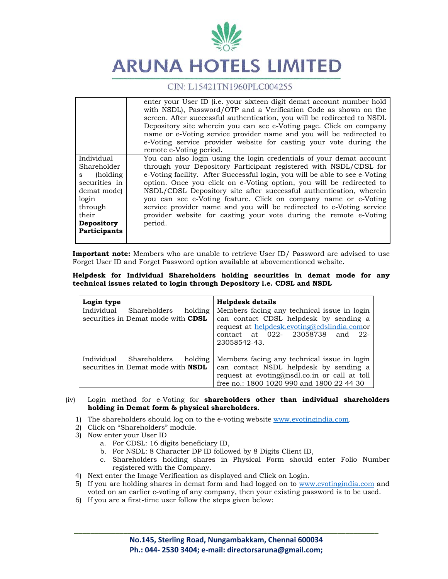

|                                                                                                                                         | enter your User ID ( <i>i.e.</i> your sixteen digit demat account number hold<br>with NSDL), Password/OTP and a Verification Code as shown on the<br>screen. After successful authentication, you will be redirected to NSDL<br>Depository site wherein you can see e-Voting page. Click on company<br>name or e-Voting service provider name and you will be redirected to<br>e-Voting service provider website for casting your vote during the<br>remote e-Voting period.                                                                                                                      |
|-----------------------------------------------------------------------------------------------------------------------------------------|---------------------------------------------------------------------------------------------------------------------------------------------------------------------------------------------------------------------------------------------------------------------------------------------------------------------------------------------------------------------------------------------------------------------------------------------------------------------------------------------------------------------------------------------------------------------------------------------------|
| Individual<br>Shareholder<br>(holding)<br>S.<br>securities in<br>demat mode)<br>login<br>through<br>their<br>Depository<br>Participants | You can also login using the login credentials of your demat account<br>through your Depository Participant registered with NSDL/CDSL for<br>e-Voting facility. After Successful login, you will be able to see e-Voting<br>option. Once you click on e-Voting option, you will be redirected to<br>NSDL/CDSL Depository site after successful authentication, wherein<br>you can see e-Voting feature. Click on company name or e-Voting<br>service provider name and you will be redirected to e-Voting service<br>provider website for casting your vote during the remote e-Voting<br>period. |

**Important note:** Members who are unable to retrieve User ID/ Password are advised to use Forget User ID and Forget Password option available at abovementioned website.

| Helpdesk for Individual Shareholders holding securities in demat mode for any |  |  |  |  |  |  |
|-------------------------------------------------------------------------------|--|--|--|--|--|--|
| technical issues related to login through Depository i.e. CDSL and NSDL       |  |  |  |  |  |  |

| Login type                                                                      | <b>Helpdesk details</b>                                                                                                                                                                      |
|---------------------------------------------------------------------------------|----------------------------------------------------------------------------------------------------------------------------------------------------------------------------------------------|
| Individual<br>holding<br>Shareholders<br>securities in Demat mode with CDSL     | Members facing any technical issue in login<br>can contact CDSL helpdesk by sending a<br>request at helpdesk.evoting@cdslindia.comor<br>contact at 022- 23058738 and<br>-22-<br>23058542-43. |
| Individual Shareholders<br>holding<br>securities in Demat mode with <b>NSDL</b> | Members facing any technical issue in login<br>can contact NSDL helpdesk by sending a<br>request at evoting@nsdl.co.in or call at toll<br>free no.: 1800 1020 990 and 1800 22 44 30          |

### (iv) Login method for e-Voting for **shareholders other than individual shareholders holding in Demat form & physical shareholders.**

- 1) The shareholders should log on to the e-voting website www.evotingindia.com.
- 2) Click on "Shareholders" module.
- 3) Now enter your User ID
	- a. For CDSL: 16 digits beneficiary ID,
	- b. For NSDL: 8 Character DP ID followed by 8 Digits Client ID,
	- c. Shareholders holding shares in Physical Form should enter Folio Number registered with the Company.
- 4) Next enter the Image Verification as displayed and Click on Login.
- 5) If you are holding shares in demat form and had logged on to www.evotingindia.com and voted on an earlier e-voting of any company, then your existing password is to be used.
- 6) If you are a first-time user follow the steps given below: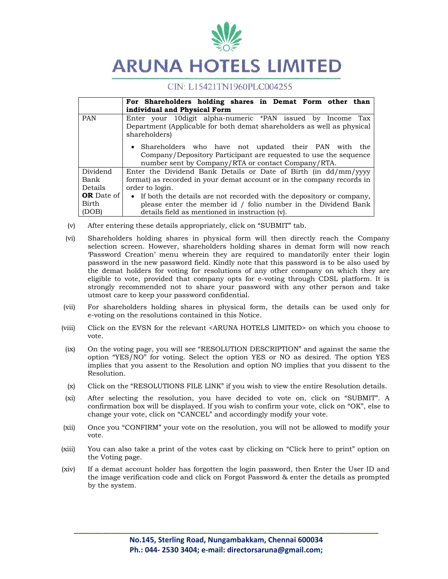

# CIN: L15421TN1960PLC004255

|                   | For Shareholders holding shares in Demat Form other than               |
|-------------------|------------------------------------------------------------------------|
|                   | individual and Physical Form                                           |
| <b>PAN</b>        | Enter your 10 digit alpha-numeric *PAN issued by Income Tax            |
|                   | Department (Applicable for both demat shareholders as well as physical |
|                   | shareholders)                                                          |
|                   | • Shareholders who have not updated their PAN with the                 |
|                   | Company/Depository Participant are requested to use the sequence       |
|                   | number sent by Company/RTA or contact Company/RTA.                     |
| Dividend          | Enter the Dividend Bank Details or Date of Birth (in dd/mm/yyyy        |
| Bank              | format) as recorded in your demat account or in the company records in |
| Details           | order to login.                                                        |
| <b>OR</b> Date of | • If both the details are not recorded with the depository or company, |
| Birth             | please enter the member id / folio number in the Dividend Bank         |
| (DOB)             | details field as mentioned in instruction (v).                         |

- (v) After entering these details appropriately, click on "SUBMIT" tab.
- (vi) Shareholders holding shares in physical form will then directly reach the Company selection screen. However, shareholders holding shares in demat form will now reach 'Password Creation' menu wherein they are required to mandatorily enter their login password in the new password field. Kindly note that this password is to be also used by the demat holders for voting for resolutions of any other company on which they are eligible to vote, provided that company opts for e-voting through CDSL platform. It is strongly recommended not to share your password with any other person and take utmost care to keep your password confidential.
- (vii) For shareholders holding shares in physical form, the details can be used only for e-voting on the resolutions contained in this Notice.
- (viii) Click on the EVSN for the relevant <ARUNA HOTELS LIMITED> on which you choose to vote.
- (ix) On the voting page, you will see "RESOLUTION DESCRIPTION" and against the same the option "YES/NO" for voting. Select the option YES or NO as desired. The option YES implies that you assent to the Resolution and option NO implies that you dissent to the Resolution.
- (x) Click on the "RESOLUTIONS FILE LINK" if you wish to view the entire Resolution details.
- (xi) After selecting the resolution, you have decided to vote on, click on "SUBMIT". A confirmation box will be displayed. If you wish to confirm your vote, click on "OK", else to change your vote, click on "CANCEL" and accordingly modify your vote.
- (xii) Once you "CONFIRM" your vote on the resolution, you will not be allowed to modify your vote.
- (xiii) You can also take a print of the votes cast by clicking on "Click here to print" option on the Voting page.
- (xiv) If a demat account holder has forgotten the login password, then Enter the User ID and the image verification code and click on Forgot Password & enter the details as prompted by the system.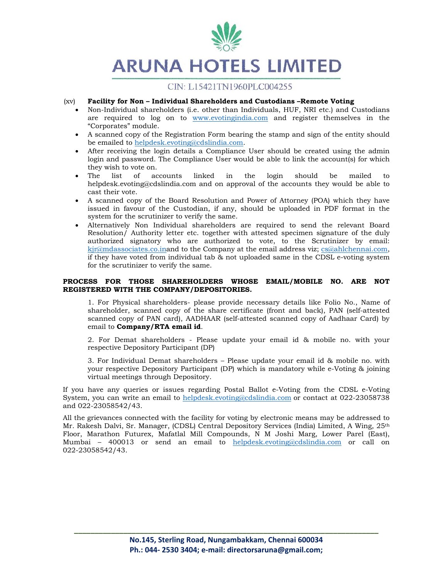

# CIN: L15421TN1960PLC004255

### (xv) **Facility for Non – Individual Shareholders and Custodians –Remote Voting**

- Non-Individual shareholders (i.e. other than Individuals, HUF, NRI etc.) and Custodians are required to log on to www.evotingindia.com and register themselves in the "Corporates" module.
- A scanned copy of the Registration Form bearing the stamp and sign of the entity should be emailed to helpdesk.evoting@cdslindia.com.
- After receiving the login details a Compliance User should be created using the admin login and password. The Compliance User would be able to link the account(s) for which they wish to vote on.
- The list of accounts linked in the login should be mailed to helpdesk.evoting@cdslindia.com and on approval of the accounts they would be able to cast their vote.
- A scanned copy of the Board Resolution and Power of Attorney (POA) which they have issued in favour of the Custodian, if any, should be uploaded in PDF format in the system for the scrutinizer to verify the same.
- Alternatively Non Individual shareholders are required to send the relevant Board Resolution/ Authority letter etc. together with attested specimen signature of the duly authorized signatory who are authorized to vote, to the Scrutinizer by email: kjr@mdassociates.co.inand to the Company at the email address viz; cs@ahlchennai.com, if they have voted from individual tab & not uploaded same in the CDSL e-voting system for the scrutinizer to verify the same.

### **PROCESS FOR THOSE SHAREHOLDERS WHOSE EMAIL/MOBILE NO. ARE NOT REGISTERED WITH THE COMPANY/DEPOSITORIES.**

1. For Physical shareholders- please provide necessary details like Folio No., Name of shareholder, scanned copy of the share certificate (front and back), PAN (self-attested scanned copy of PAN card), AADHAAR (self-attested scanned copy of Aadhaar Card) by email to **Company/RTA email id**.

2. For Demat shareholders - Please update your email id & mobile no. with your respective Depository Participant (DP)

3. For Individual Demat shareholders – Please update your email id & mobile no. with your respective Depository Participant (DP) which is mandatory while e-Voting & joining virtual meetings through Depository.

If you have any queries or issues regarding Postal Ballot e-Voting from the CDSL e-Voting System, you can write an email to helpdesk.evoting@cdslindia.com or contact at 022-23058738 and 022-23058542/43.

All the grievances connected with the facility for voting by electronic means may be addressed to Mr. Rakesh Dalvi, Sr. Manager, (CDSL) Central Depository Services (India) Limited, A Wing, 25th Floor, Marathon Futurex, Mafatlal Mill Compounds, N M Joshi Marg, Lower Parel (East), Mumbai – 400013 or send an email to helpdesk.evoting@cdslindia.com or call on 022-23058542/43.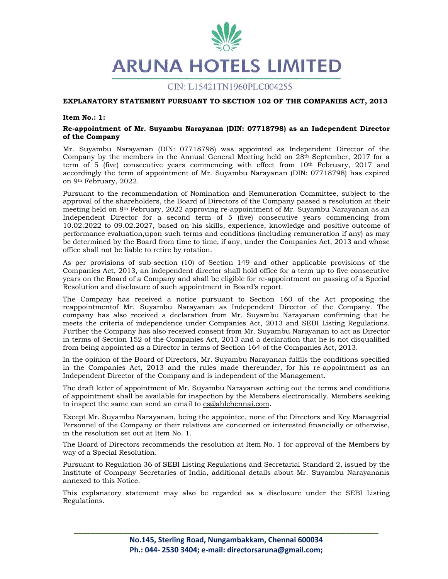

### **EXPLANATORY STATEMENT PURSUANT TO SECTION 102 OF THE COMPANIES ACT, 2013**

### **Item No.: 1:**

### **Re-appointment of Mr. Suyambu Narayanan (DIN: 07718798) as an Independent Director of the Company**

Mr. Suyambu Narayanan (DIN: 07718798) was appointed as Independent Director of the Company by the members in the Annual General Meeting held on 28th September, 2017 for a term of 5 (five) consecutive years commencing with effect from 10<sup>th</sup> February, 2017 and accordingly the term of appointment of Mr. Suyambu Narayanan (DIN: 07718798) has expired on 9th February, 2022.

Pursuant to the recommendation of Nomination and Remuneration Committee, subject to the approval of the shareholders, the Board of Directors of the Company passed a resolution at their meeting held on 8th February, 2022 approving re-appointment of Mr. Suyambu Narayanan as an Independent Director for a second term of 5 (five) consecutive years commencing from 10.02.2022 to 09.02.2027, based on his skills, experience, knowledge and positive outcome of performance evaluation,upon such terms and conditions (including remuneration if any) as may be determined by the Board from time to time, if any, under the Companies Act, 2013 and whose office shall not be liable to retire by rotation.

As per provisions of sub-section (10) of Section 149 and other applicable provisions of the Companies Act, 2013, an independent director shall hold office for a term up to five consecutive years on the Board of a Company and shall be eligible for re-appointment on passing of a Special Resolution and disclosure of such appointment in Board's report.

The Company has received a notice pursuant to Section 160 of the Act proposing the reappointmentof Mr. Suyambu Narayanan as Independent Director of the Company. The company has also received a declaration from Mr. Suyambu Narayanan confirming that he meets the criteria of independence under Companies Act, 2013 and SEBI Listing Regulations. Further the Company has also received consent from Mr. Suyambu Narayanan to act as Director in terms of Section 152 of the Companies Act, 2013 and a declaration that he is not disqualified from being appointed as a Director in terms of Section 164 of the Companies Act, 2013.

In the opinion of the Board of Directors, Mr. Suyambu Narayanan fulfils the conditions specified in the Companies Act, 2013 and the rules made thereunder, for his re-appointment as an Independent Director of the Company and is independent of the Management.

The draft letter of appointment of Mr. Suyambu Narayanan setting out the terms and conditions of appointment shall be available for inspection by the Members electronically. Members seeking to inspect the same can send an email to  $cs@ahlchennai.com$ .

Except Mr. Suyambu Narayanan, being the appointee, none of the Directors and Key Managerial Personnel of the Company or their relatives are concerned or interested financially or otherwise, in the resolution set out at Item No. 1.

The Board of Directors recommends the resolution at Item No. 1 for approval of the Members by way of a Special Resolution.

Pursuant to Regulation 36 of SEBI Listing Regulations and Secretarial Standard 2, issued by the Institute of Company Secretaries of India, additional details about Mr. Suyambu Narayananis annexed to this Notice.

This explanatory statement may also be regarded as a disclosure under the SEBI Listing Regulations.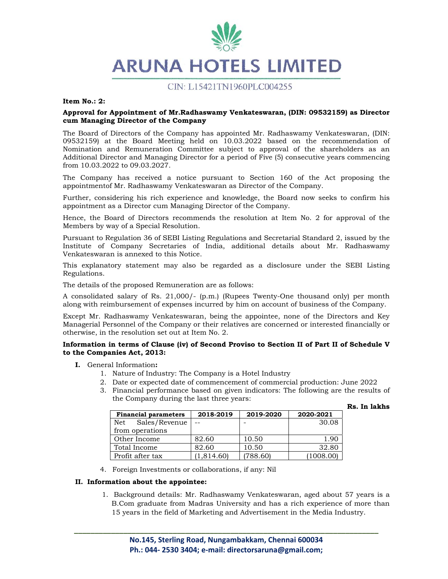

**Item No.: 2:** 

### **Approval for Appointment of Mr.Radhaswamy Venkateswaran, (DIN: 09532159) as Director cum Managing Director of the Company**

The Board of Directors of the Company has appointed Mr. Radhaswamy Venkateswaran, (DIN: 09532159) at the Board Meeting held on 10.03.2022 based on the recommendation of Nomination and Remuneration Committee subject to approval of the shareholders as an Additional Director and Managing Director for a period of Five (5) consecutive years commencing from 10.03.2022 to 09.03.2027.

The Company has received a notice pursuant to Section 160 of the Act proposing the appointmentof Mr. Radhaswamy Venkateswaran as Director of the Company.

Further, considering his rich experience and knowledge, the Board now seeks to confirm his appointment as a Director cum Managing Director of the Company.

Hence, the Board of Directors recommends the resolution at Item No. 2 for approval of the Members by way of a Special Resolution.

Pursuant to Regulation 36 of SEBI Listing Regulations and Secretarial Standard 2, issued by the Institute of Company Secretaries of India, additional details about Mr. Radhaswamy Venkateswaran is annexed to this Notice.

This explanatory statement may also be regarded as a disclosure under the SEBI Listing Regulations.

The details of the proposed Remuneration are as follows:

A consolidated salary of Rs. 21,000/- (p.m.) (Rupees Twenty-One thousand only) per month along with reimbursement of expenses incurred by him on account of business of the Company.

Except Mr. Radhaswamy Venkateswaran, being the appointee, none of the Directors and Key Managerial Personnel of the Company or their relatives are concerned or interested financially or otherwise, in the resolution set out at Item No. 2.

### **Information in terms of Clause (iv) of Second Proviso to Section II of Part II of Schedule V to the Companies Act, 2013:**

- **I.** General Information**:** 
	- 1. Nature of Industry: The Company is a Hotel Industry
	- 2. Date or expected date of commencement of commercial production: June 2022
	- 3. Financial performance based on given indicators: The following are the results of the Company during the last three years:

|  |  | Rs. In lakhs |
|--|--|--------------|
|--|--|--------------|

| <b>Financial parameters</b> | 2018-2019  | 2019-2020 | 2020-2021 |
|-----------------------------|------------|-----------|-----------|
| Sales/Revenue<br>Net        |            |           | 30.08     |
| from operations             |            |           |           |
| Other Income                | 82.60      | 10.50     | 1.90      |
| Total Income                | 82.60      | 10.50     | 32.80     |
| Profit after tax            | (1,814.60) | (788.60)  | (1008.00) |

4. Foreign Investments or collaborations, if any: Nil

### **II. Information about the appointee:**

1. Background details: Mr. Radhaswamy Venkateswaran, aged about 57 years is a B.Com graduate from Madras University and has a rich experience of more than 15 years in the field of Marketing and Advertisement in the Media Industry.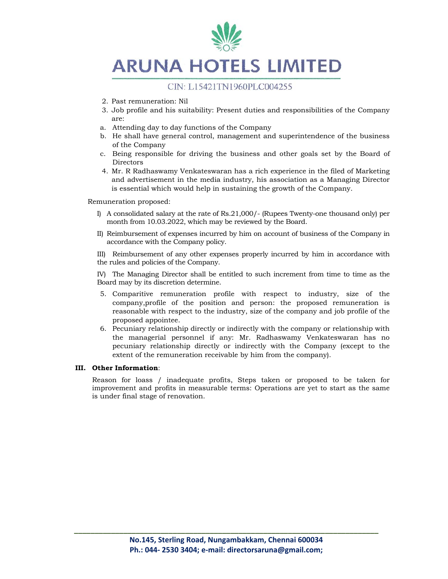

# CIN: L15421TN1960PLC004255

- 2. Past remuneration: Nil
- 3. Job profile and his suitability: Present duties and responsibilities of the Company are:
- a. Attending day to day functions of the Company
- b. He shall have general control, management and superintendence of the business of the Company
- c. Being responsible for driving the business and other goals set by the Board of Directors
- 4. Mr. R Radhaswamy Venkateswaran has a rich experience in the filed of Marketing and advertisement in the media industry, his association as a Managing Director is essential which would help in sustaining the growth of the Company.

Remuneration proposed:

- I) A consolidated salary at the rate of Rs.21,000/- (Rupees Twenty-one thousand only) per month from 10.03.2022, which may be reviewed by the Board.
- II) Reimbursement of expenses incurred by him on account of business of the Company in accordance with the Company policy.

III) Reimbursement of any other expenses properly incurred by him in accordance with the rules and policies of the Company.

IV) The Managing Director shall be entitled to such increment from time to time as the Board may by its discretion determine.

- 5. Comparitive remuneration profile with respect to industry, size of the company,profile of the position and person: the proposed remuneration is reasonable with respect to the industry, size of the company and job profile of the proposed appointee.
- 6. Pecuniary relationship directly or indirectly with the company or relationship with the managerial personnel if any: Mr. Radhaswamy Venkateswaran has no pecuniary relationship directly or indirectly with the Company (except to the extent of the remuneration receivable by him from the company).

### **III. Other Information**:

Reason for loass / inadequate profits, Steps taken or proposed to be taken for improvement and profits in measurable terms: Operations are yet to start as the same is under final stage of renovation.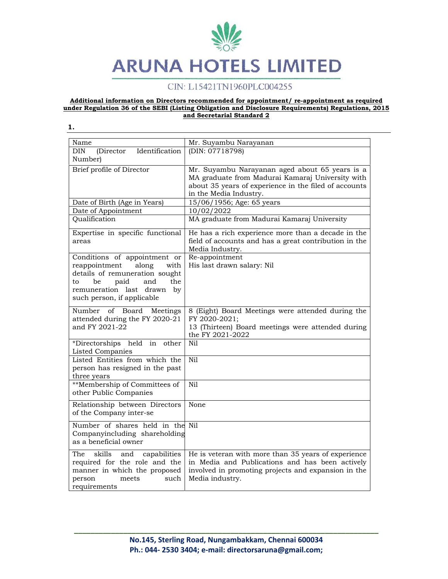# CIN: L15421TN1960PLC004255

#### **Additional information on Directors recommended for appointment/ re-appointment as required under Regulation 36 of the SEBI (Listing Obligation and Disclosure Requirements) Regulations, 2015 and Secretarial Standard 2**

**1.** 

Name Mr. Suyambu Narayanan DIN (Director Identification Number) (DIN: 07718798) Brief profile of Director Mr. Suyambu Narayanan aged about 65 years is a MA graduate from Madurai Kamaraj University with about 35 years of experience in the filed of accounts in the Media Industry. Date of Birth (Age in Years)  $15/06/1956$ ; Age: 65 years Date of Appointment 10/02/2022 Qualification MA graduate from Madurai Kamaraj University Expertise in specific functional areas He has a rich experience more than a decade in the field of accounts and has a great contribution in the Media Industry. Conditions of appointment or reappointment along with details of remuneration sought to be paid and the remuneration last drawn by such person, if applicable Re-appointment His last drawn salary: Nil Number of Board Meetings attended during the FY 2020-21 and FY 2021-22 8 (Eight) Board Meetings were attended during the FY 2020-2021; 13 (Thirteen) Board meetings were attended during the FY 2021-2022 \*Directorships held in other Listed Companies Nil Listed Entities from which the person has resigned in the past three years Nil \*\*Membership of Committees of other Public Companies Nil Relationship between Directors of the Company inter-se None Number of shares held in the Nil Companyincluding shareholding as a beneficial owner The skills and capabilities required for the role and the manner in which the proposed person meets such requirements He is veteran with more than 35 years of experience in Media and Publications and has been actively involved in promoting projects and expansion in the Media industry.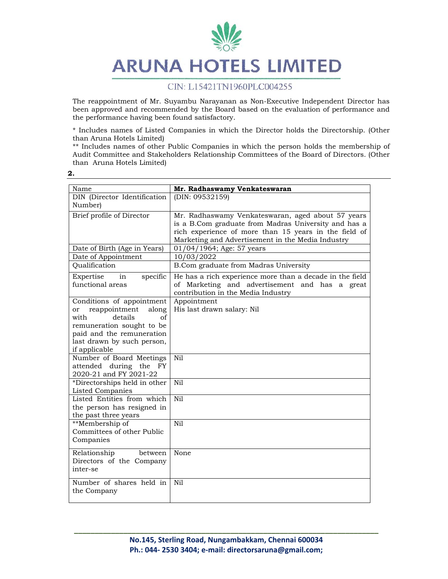

# CIN: L15421TN1960PLC004255

The reappointment of Mr. Suyambu Narayanan as Non-Executive Independent Director has been approved and recommended by the Board based on the evaluation of performance and the performance having been found satisfactory.

\* Includes names of Listed Companies in which the Director holds the Directorship. (Other than Aruna Hotels Limited)

\*\* Includes names of other Public Companies in which the person holds the membership of Audit Committee and Stakeholders Relationship Committees of the Board of Directors. (Other than Aruna Hotels Limited)

|  | ۰.<br>× |
|--|---------|

| Name                                                                                                                                                                                        | Mr. Radhaswamy Venkateswaran                                                                                                                                                                                            |
|---------------------------------------------------------------------------------------------------------------------------------------------------------------------------------------------|-------------------------------------------------------------------------------------------------------------------------------------------------------------------------------------------------------------------------|
| DIN (Director Identification<br>Number)                                                                                                                                                     | (DIN: 09532159)                                                                                                                                                                                                         |
| Brief profile of Director                                                                                                                                                                   | Mr. Radhaswamy Venkateswaran, aged about 57 years<br>is a B.Com graduate from Madras University and has a<br>rich experience of more than 15 years in the field of<br>Marketing and Advertisement in the Media Industry |
| Date of Birth (Age in Years)                                                                                                                                                                | 01/04/1964; Age: 57 years                                                                                                                                                                                               |
| Date of Appointment                                                                                                                                                                         | 10/03/2022                                                                                                                                                                                                              |
| Qualification                                                                                                                                                                               | B.Com graduate from Madras University                                                                                                                                                                                   |
| in<br>specific<br>Expertise<br>functional areas                                                                                                                                             | He has a rich experience more than a decade in the field<br>of Marketing and advertisement and has a great<br>contribution in the Media Industry                                                                        |
| Conditions of appointment<br>reappointment<br>along<br>or<br>details<br>with<br>of<br>remuneration sought to be<br>paid and the remuneration<br>last drawn by such person,<br>if applicable | Appointment<br>His last drawn salary: Nil                                                                                                                                                                               |
| Number of Board Meetings<br>attended during the<br>FY.<br>2020-21 and FY 2021-22                                                                                                            | Nil                                                                                                                                                                                                                     |
| *Directorships held in other<br><b>Listed Companies</b>                                                                                                                                     | Nil                                                                                                                                                                                                                     |
| Listed Entities from which<br>the person has resigned in<br>the past three years                                                                                                            | N <sub>i</sub> 1                                                                                                                                                                                                        |
| **Membership of<br>Committees of other Public<br>Companies                                                                                                                                  | Nil                                                                                                                                                                                                                     |
| Relationship<br>between<br>Directors of the Company<br>inter-se                                                                                                                             | None                                                                                                                                                                                                                    |
| Number of shares held in<br>the Company                                                                                                                                                     | Nil                                                                                                                                                                                                                     |